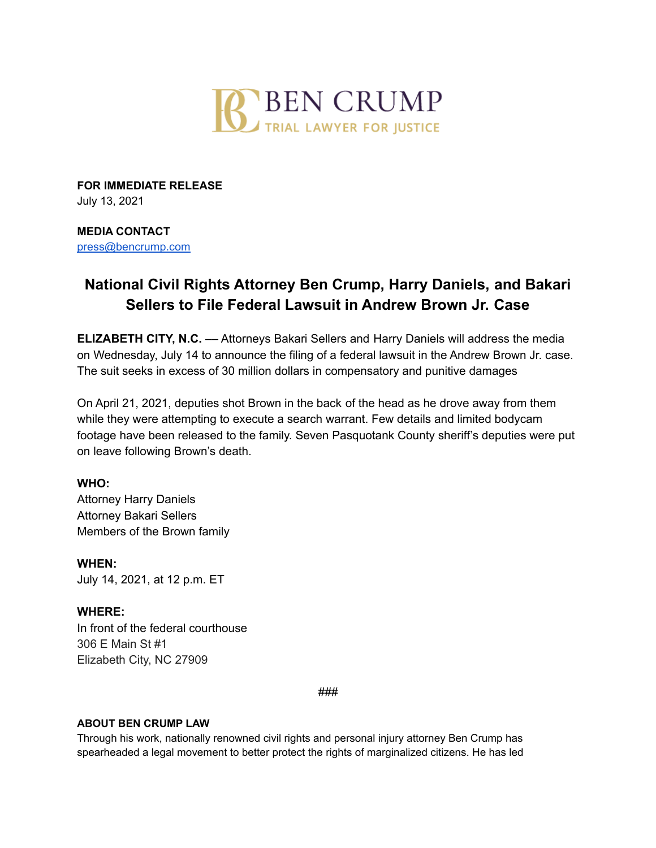

**FOR IMMEDIATE RELEASE** July 13, 2021

## **MEDIA CONTACT**

[press@bencrump.com](mailto:press@bencrump.com)

# **National Civil Rights Attorney Ben Crump, Harry Daniels, and Bakari Sellers to File Federal Lawsuit in Andrew Brown Jr. Case**

**ELIZABETH CITY, N.C.** –– Attorneys Bakari Sellers and Harry Daniels will address the media on Wednesday, July 14 to announce the filing of a federal lawsuit in the Andrew Brown Jr. case. The suit seeks in excess of 30 million dollars in compensatory and punitive damages

On April 21, 2021, deputies shot Brown in the back of the head as he drove away from them while they were attempting to execute a search warrant. Few details and limited bodycam footage have been released to the family. Seven Pasquotank County sheriff's deputies were put on leave following Brown's death.

## **WHO:**

Attorney Harry Daniels Attorney Bakari Sellers Members of the Brown family

**WHEN:** July 14, 2021, at 12 p.m. ET

## **WHERE:**

In front of the federal courthouse 306 E Main St #1 Elizabeth City, NC 27909

*###*

## **ABOUT BEN CRUMP LAW**

Through his work, nationally renowned civil rights and personal injury attorney Ben Crump has spearheaded a legal movement to better protect the rights of marginalized citizens. He has led